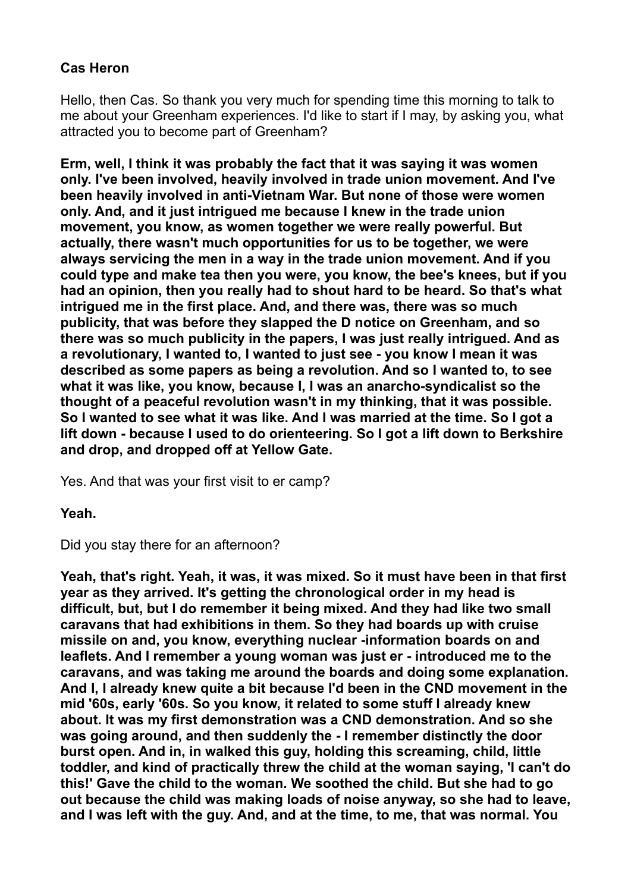## **Cas Heron**

Hello, then Cas. So thank you very much for spending time this morning to talk to me about your Greenham experiences. I'd like to start if I may, by asking you, what attracted you to become part of Greenham?

**Erm, well, I think it was probably the fact that it was saying it was women only. I've been involved, heavily involved in trade union movement. And I've been heavily involved in anti-Vietnam War. But none of those were women only. And, and it just intrigued me because I knew in the trade union movement, you know, as women together we were really powerful. But actually, there wasn't much opportunities for us to be together, we were always servicing the men in a way in the trade union movement. And if you could type and make tea then you were, you know, the bee's knees, but if you had an opinion, then you really had to shout hard to be heard. So that's what intrigued me in the first place. And, and there was, there was so much publicity, that was before they slapped the D notice on Greenham, and so there was so much publicity in the papers, I was just really intrigued. And as a revolutionary, I wanted to, I wanted to just see - you know I mean it was described as some papers as being a revolution. And so I wanted to, to see what it was like, you know, because I, I was an anarcho-syndicalist so the thought of a peaceful revolution wasn't in my thinking, that it was possible. So I wanted to see what it was like. And I was married at the time. So I got a lift down - because I used to do orienteering. So I got a lift down to Berkshire and drop, and dropped off at Yellow Gate.** 

Yes. And that was your first visit to er camp?

**Yeah.** 

Did you stay there for an afternoon?

**Yeah, that's right. Yeah, it was, it was mixed. So it must have been in that first year as they arrived. It's getting the chronological order in my head is difficult, but, but I do remember it being mixed. And they had like two small caravans that had exhibitions in them. So they had boards up with cruise missile on and, you know, everything nuclear -information boards on and leaflets. And I remember a young woman was just er - introduced me to the caravans, and was taking me around the boards and doing some explanation. And I, I already knew quite a bit because I'd been in the CND movement in the mid '60s, early '60s. So you know, it related to some stuff I already knew about. It was my first demonstration was a CND demonstration. And so she was going around, and then suddenly the - I remember distinctly the door burst open. And in, in walked this guy, holding this screaming, child, little toddler, and kind of practically threw the child at the woman saying, 'I can't do this!' Gave the child to the woman. We soothed the child. But she had to go out because the child was making loads of noise anyway, so she had to leave, and I was left with the guy. And, and at the time, to me, that was normal. You**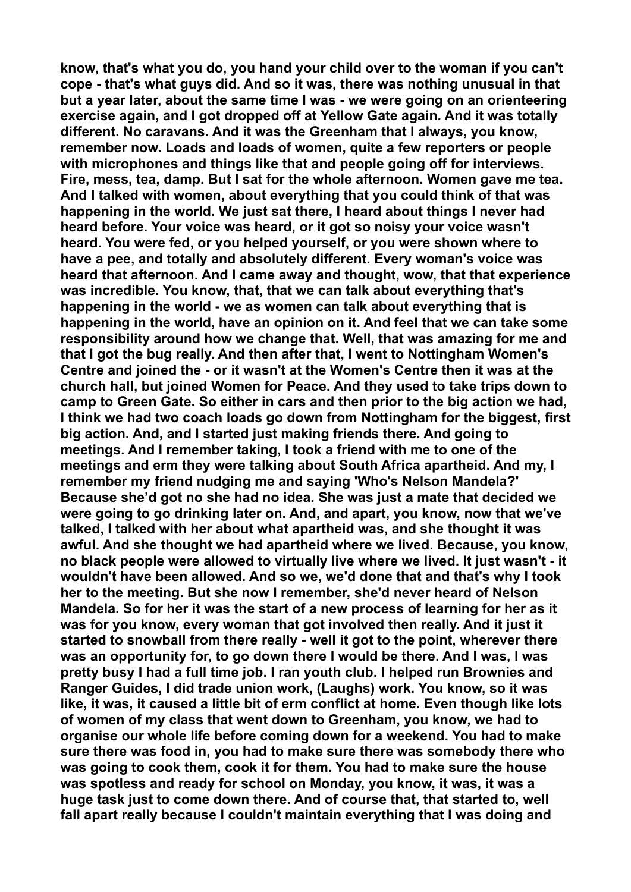**know, that's what you do, you hand your child over to the woman if you can't cope - that's what guys did. And so it was, there was nothing unusual in that but a year later, about the same time I was - we were going on an orienteering exercise again, and I got dropped off at Yellow Gate again. And it was totally different. No caravans. And it was the Greenham that I always, you know, remember now. Loads and loads of women, quite a few reporters or people with microphones and things like that and people going off for interviews. Fire, mess, tea, damp. But I sat for the whole afternoon. Women gave me tea. And I talked with women, about everything that you could think of that was happening in the world. We just sat there, I heard about things I never had heard before. Your voice was heard, or it got so noisy your voice wasn't heard. You were fed, or you helped yourself, or you were shown where to have a pee, and totally and absolutely different. Every woman's voice was heard that afternoon. And I came away and thought, wow, that that experience was incredible. You know, that, that we can talk about everything that's happening in the world - we as women can talk about everything that is happening in the world, have an opinion on it. And feel that we can take some responsibility around how we change that. Well, that was amazing for me and that I got the bug really. And then after that, I went to Nottingham Women's Centre and joined the - or it wasn't at the Women's Centre then it was at the church hall, but joined Women for Peace. And they used to take trips down to camp to Green Gate. So either in cars and then prior to the big action we had, I think we had two coach loads go down from Nottingham for the biggest, first big action. And, and I started just making friends there. And going to meetings. And I remember taking, I took a friend with me to one of the meetings and erm they were talking about South Africa apartheid. And my, I remember my friend nudging me and saying 'Who's Nelson Mandela?' Because she'd got no she had no idea. She was just a mate that decided we were going to go drinking later on. And, and apart, you know, now that we've talked, I talked with her about what apartheid was, and she thought it was awful. And she thought we had apartheid where we lived. Because, you know, no black people were allowed to virtually live where we lived. It just wasn't - it wouldn't have been allowed. And so we, we'd done that and that's why I took her to the meeting. But she now I remember, she'd never heard of Nelson Mandela. So for her it was the start of a new process of learning for her as it was for you know, every woman that got involved then really. And it just it started to snowball from there really - well it got to the point, wherever there was an opportunity for, to go down there I would be there. And I was, I was pretty busy I had a full time job. I ran youth club. I helped run Brownies and Ranger Guides, I did trade union work, (Laughs) work. You know, so it was like, it was, it caused a little bit of erm conflict at home. Even though like lots of women of my class that went down to Greenham, you know, we had to organise our whole life before coming down for a weekend. You had to make sure there was food in, you had to make sure there was somebody there who was going to cook them, cook it for them. You had to make sure the house was spotless and ready for school on Monday, you know, it was, it was a huge task just to come down there. And of course that, that started to, well fall apart really because I couldn't maintain everything that I was doing and**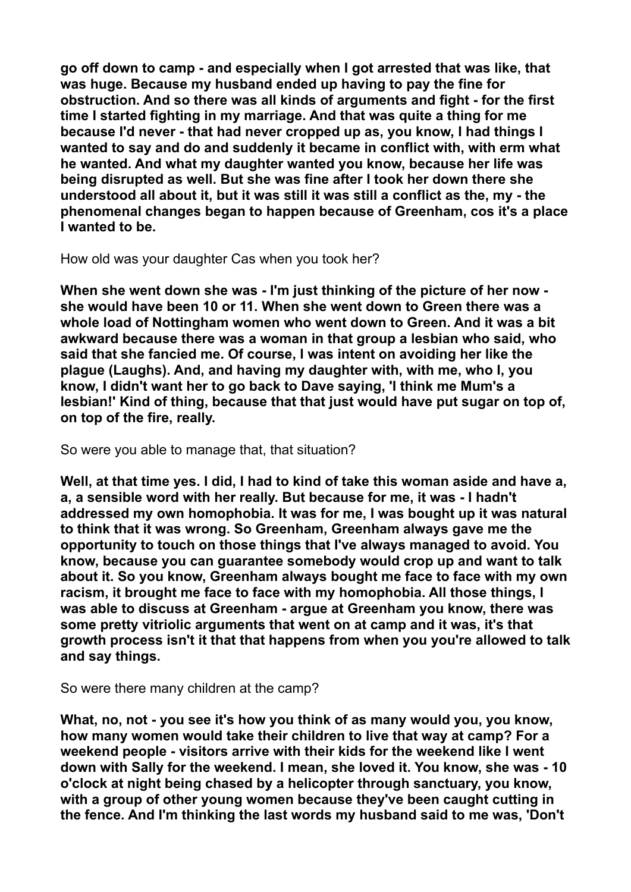**go off down to camp - and especially when I got arrested that was like, that was huge. Because my husband ended up having to pay the fine for obstruction. And so there was all kinds of arguments and fight - for the first time I started fighting in my marriage. And that was quite a thing for me because I'd never - that had never cropped up as, you know, I had things I wanted to say and do and suddenly it became in conflict with, with erm what he wanted. And what my daughter wanted you know, because her life was being disrupted as well. But she was fine after I took her down there she understood all about it, but it was still it was still a conflict as the, my - the phenomenal changes began to happen because of Greenham, cos it's a place I wanted to be.** 

How old was your daughter Cas when you took her?

**When she went down she was - I'm just thinking of the picture of her now she would have been 10 or 11. When she went down to Green there was a whole load of Nottingham women who went down to Green. And it was a bit awkward because there was a woman in that group a lesbian who said, who said that she fancied me. Of course, I was intent on avoiding her like the plague (Laughs). And, and having my daughter with, with me, who I, you know, I didn't want her to go back to Dave saying, 'I think me Mum's a lesbian!' Kind of thing, because that that just would have put sugar on top of, on top of the fire, really.** 

So were you able to manage that, that situation?

**Well, at that time yes. I did, I had to kind of take this woman aside and have a, a, a sensible word with her really. But because for me, it was - I hadn't addressed my own homophobia. It was for me, I was bought up it was natural to think that it was wrong. So Greenham, Greenham always gave me the opportunity to touch on those things that I've always managed to avoid. You know, because you can guarantee somebody would crop up and want to talk about it. So you know, Greenham always bought me face to face with my own racism, it brought me face to face with my homophobia. All those things, I was able to discuss at Greenham - argue at Greenham you know, there was some pretty vitriolic arguments that went on at camp and it was, it's that growth process isn't it that that happens from when you you're allowed to talk and say things.** 

So were there many children at the camp?

**What, no, not - you see it's how you think of as many would you, you know, how many women would take their children to live that way at camp? For a weekend people - visitors arrive with their kids for the weekend like I went down with Sally for the weekend. I mean, she loved it. You know, she was - 10 o'clock at night being chased by a helicopter through sanctuary, you know, with a group of other young women because they've been caught cutting in the fence. And I'm thinking the last words my husband said to me was, 'Don't**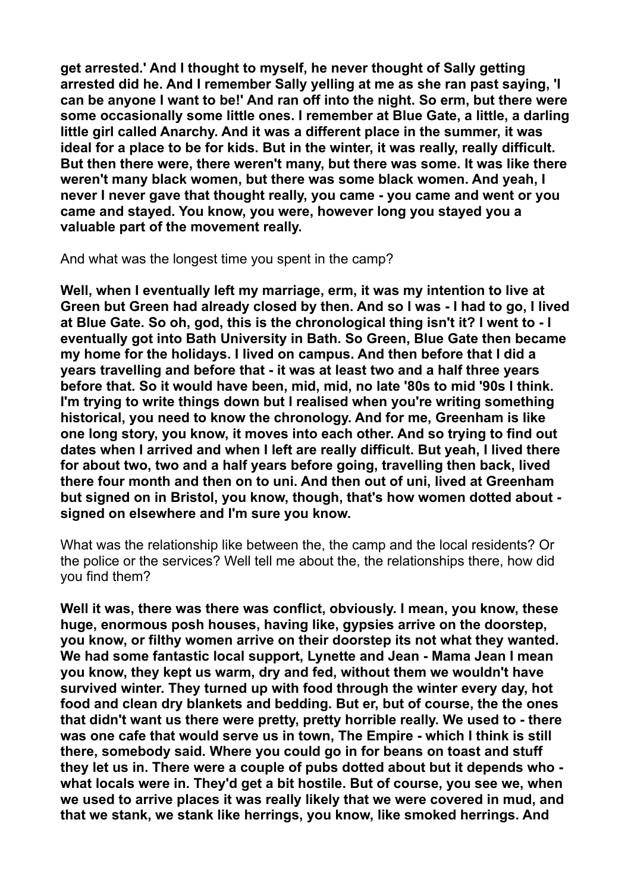**get arrested.' And I thought to myself, he never thought of Sally getting arrested did he. And I remember Sally yelling at me as she ran past saying, 'I can be anyone I want to be!' And ran off into the night. So erm, but there were some occasionally some little ones. I remember at Blue Gate, a little, a darling little girl called Anarchy. And it was a different place in the summer, it was ideal for a place to be for kids. But in the winter, it was really, really difficult. But then there were, there weren't many, but there was some. It was like there weren't many black women, but there was some black women. And yeah, I never I never gave that thought really, you came - you came and went or you came and stayed. You know, you were, however long you stayed you a valuable part of the movement really.** 

And what was the longest time you spent in the camp?

**Well, when I eventually left my marriage, erm, it was my intention to live at Green but Green had already closed by then. And so I was - I had to go, I lived at Blue Gate. So oh, god, this is the chronological thing isn't it? I went to - I eventually got into Bath University in Bath. So Green, Blue Gate then became my home for the holidays. I lived on campus. And then before that I did a years travelling and before that - it was at least two and a half three years before that. So it would have been, mid, mid, no late '80s to mid '90s I think. I'm trying to write things down but I realised when you're writing something historical, you need to know the chronology. And for me, Greenham is like one long story, you know, it moves into each other. And so trying to find out dates when I arrived and when I left are really difficult. But yeah, I lived there for about two, two and a half years before going, travelling then back, lived there four month and then on to uni. And then out of uni, lived at Greenham but signed on in Bristol, you know, though, that's how women dotted about signed on elsewhere and I'm sure you know.** 

What was the relationship like between the, the camp and the local residents? Or the police or the services? Well tell me about the, the relationships there, how did you find them?

**Well it was, there was there was conflict, obviously. I mean, you know, these huge, enormous posh houses, having like, gypsies arrive on the doorstep, you know, or filthy women arrive on their doorstep its not what they wanted. We had some fantastic local support, Lynette and Jean - Mama Jean I mean you know, they kept us warm, dry and fed, without them we wouldn't have survived winter. They turned up with food through the winter every day, hot food and clean dry blankets and bedding. But er, but of course, the the ones that didn't want us there were pretty, pretty horrible really. We used to - there was one cafe that would serve us in town, The Empire - which I think is still there, somebody said. Where you could go in for beans on toast and stuff they let us in. There were a couple of pubs dotted about but it depends who what locals were in. They'd get a bit hostile. But of course, you see we, when we used to arrive places it was really likely that we were covered in mud, and that we stank, we stank like herrings, you know, like smoked herrings. And**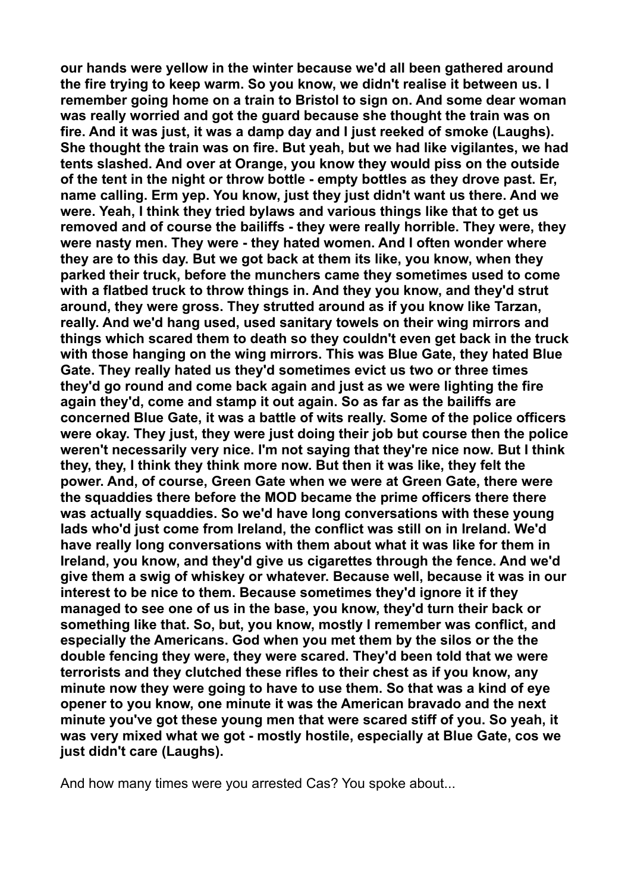**our hands were yellow in the winter because we'd all been gathered around the fire trying to keep warm. So you know, we didn't realise it between us. I remember going home on a train to Bristol to sign on. And some dear woman was really worried and got the guard because she thought the train was on fire. And it was just, it was a damp day and I just reeked of smoke (Laughs). She thought the train was on fire. But yeah, but we had like vigilantes, we had tents slashed. And over at Orange, you know they would piss on the outside of the tent in the night or throw bottle - empty bottles as they drove past. Er, name calling. Erm yep. You know, just they just didn't want us there. And we were. Yeah, I think they tried bylaws and various things like that to get us removed and of course the bailiffs - they were really horrible. They were, they were nasty men. They were - they hated women. And I often wonder where they are to this day. But we got back at them its like, you know, when they parked their truck, before the munchers came they sometimes used to come with a flatbed truck to throw things in. And they you know, and they'd strut around, they were gross. They strutted around as if you know like Tarzan, really. And we'd hang used, used sanitary towels on their wing mirrors and things which scared them to death so they couldn't even get back in the truck with those hanging on the wing mirrors. This was Blue Gate, they hated Blue Gate. They really hated us they'd sometimes evict us two or three times they'd go round and come back again and just as we were lighting the fire again they'd, come and stamp it out again. So as far as the bailiffs are concerned Blue Gate, it was a battle of wits really. Some of the police officers were okay. They just, they were just doing their job but course then the police weren't necessarily very nice. I'm not saying that they're nice now. But I think they, they, I think they think more now. But then it was like, they felt the power. And, of course, Green Gate when we were at Green Gate, there were the squaddies there before the MOD became the prime officers there there was actually squaddies. So we'd have long conversations with these young lads who'd just come from Ireland, the conflict was still on in Ireland. We'd have really long conversations with them about what it was like for them in Ireland, you know, and they'd give us cigarettes through the fence. And we'd give them a swig of whiskey or whatever. Because well, because it was in our interest to be nice to them. Because sometimes they'd ignore it if they managed to see one of us in the base, you know, they'd turn their back or something like that. So, but, you know, mostly I remember was conflict, and especially the Americans. God when you met them by the silos or the the double fencing they were, they were scared. They'd been told that we were terrorists and they clutched these rifles to their chest as if you know, any minute now they were going to have to use them. So that was a kind of eye opener to you know, one minute it was the American bravado and the next minute you've got these young men that were scared stiff of you. So yeah, it was very mixed what we got - mostly hostile, especially at Blue Gate, cos we just didn't care (Laughs).** 

And how many times were you arrested Cas? You spoke about...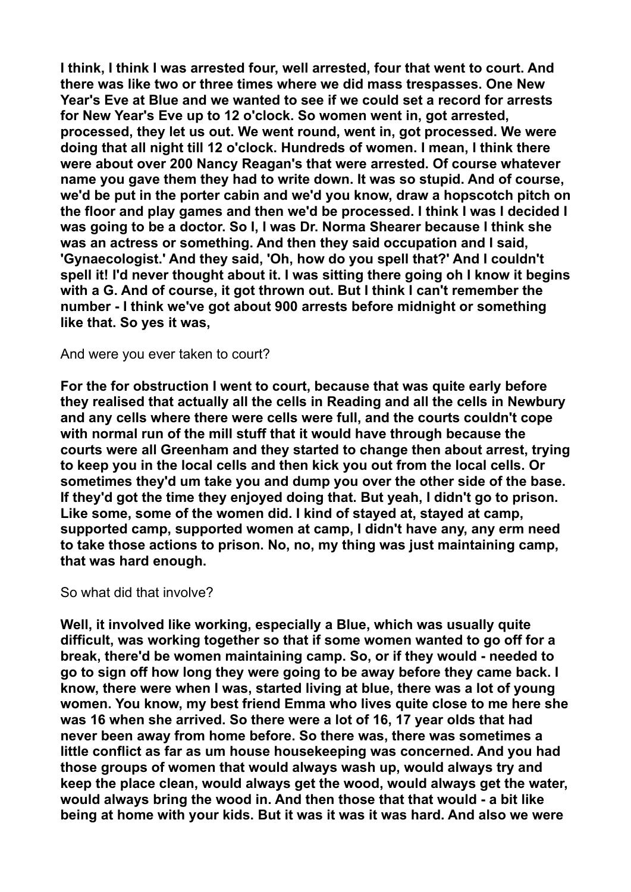**I think, I think I was arrested four, well arrested, four that went to court. And there was like two or three times where we did mass trespasses. One New Year's Eve at Blue and we wanted to see if we could set a record for arrests for New Year's Eve up to 12 o'clock. So women went in, got arrested, processed, they let us out. We went round, went in, got processed. We were doing that all night till 12 o'clock. Hundreds of women. I mean, I think there were about over 200 Nancy Reagan's that were arrested. Of course whatever name you gave them they had to write down. It was so stupid. And of course, we'd be put in the porter cabin and we'd you know, draw a hopscotch pitch on the floor and play games and then we'd be processed. I think I was I decided I was going to be a doctor. So I, I was Dr. Norma Shearer because I think she was an actress or something. And then they said occupation and I said, 'Gynaecologist.' And they said, 'Oh, how do you spell that?' And I couldn't spell it! I'd never thought about it. I was sitting there going oh I know it begins with a G. And of course, it got thrown out. But I think I can't remember the number - I think we've got about 900 arrests before midnight or something like that. So yes it was,** 

And were you ever taken to court?

**For the for obstruction I went to court, because that was quite early before they realised that actually all the cells in Reading and all the cells in Newbury and any cells where there were cells were full, and the courts couldn't cope with normal run of the mill stuff that it would have through because the courts were all Greenham and they started to change then about arrest, trying to keep you in the local cells and then kick you out from the local cells. Or sometimes they'd um take you and dump you over the other side of the base. If they'd got the time they enjoyed doing that. But yeah, I didn't go to prison. Like some, some of the women did. I kind of stayed at, stayed at camp, supported camp, supported women at camp, I didn't have any, any erm need to take those actions to prison. No, no, my thing was just maintaining camp, that was hard enough.** 

So what did that involve?

**Well, it involved like working, especially a Blue, which was usually quite difficult, was working together so that if some women wanted to go off for a break, there'd be women maintaining camp. So, or if they would - needed to go to sign off how long they were going to be away before they came back. I know, there were when I was, started living at blue, there was a lot of young women. You know, my best friend Emma who lives quite close to me here she was 16 when she arrived. So there were a lot of 16, 17 year olds that had never been away from home before. So there was, there was sometimes a little conflict as far as um house housekeeping was concerned. And you had those groups of women that would always wash up, would always try and keep the place clean, would always get the wood, would always get the water, would always bring the wood in. And then those that that would - a bit like being at home with your kids. But it was it was it was hard. And also we were**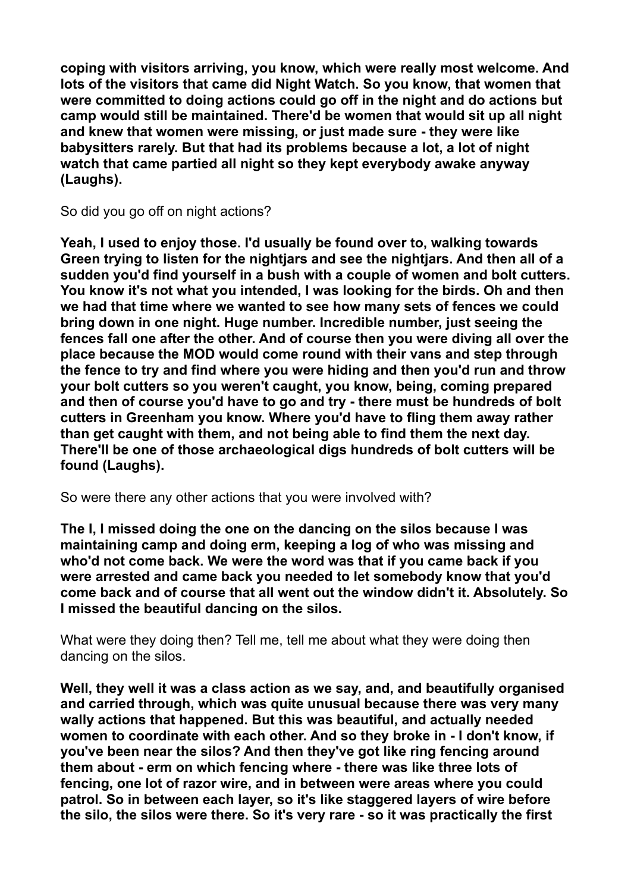**coping with visitors arriving, you know, which were really most welcome. And lots of the visitors that came did Night Watch. So you know, that women that were committed to doing actions could go off in the night and do actions but camp would still be maintained. There'd be women that would sit up all night and knew that women were missing, or just made sure - they were like babysitters rarely. But that had its problems because a lot, a lot of night watch that came partied all night so they kept everybody awake anyway (Laughs).** 

So did you go off on night actions?

**Yeah, I used to enjoy those. I'd usually be found over to, walking towards Green trying to listen for the nightjars and see the nightjars. And then all of a sudden you'd find yourself in a bush with a couple of women and bolt cutters. You know it's not what you intended, I was looking for the birds. Oh and then we had that time where we wanted to see how many sets of fences we could bring down in one night. Huge number. Incredible number, just seeing the fences fall one after the other. And of course then you were diving all over the place because the MOD would come round with their vans and step through the fence to try and find where you were hiding and then you'd run and throw your bolt cutters so you weren't caught, you know, being, coming prepared and then of course you'd have to go and try - there must be hundreds of bolt cutters in Greenham you know. Where you'd have to fling them away rather than get caught with them, and not being able to find them the next day. There'll be one of those archaeological digs hundreds of bolt cutters will be found (Laughs).** 

So were there any other actions that you were involved with?

**The I, I missed doing the one on the dancing on the silos because I was maintaining camp and doing erm, keeping a log of who was missing and who'd not come back. We were the word was that if you came back if you were arrested and came back you needed to let somebody know that you'd come back and of course that all went out the window didn't it. Absolutely. So I missed the beautiful dancing on the silos.** 

What were they doing then? Tell me, tell me about what they were doing then dancing on the silos.

**Well, they well it was a class action as we say, and, and beautifully organised and carried through, which was quite unusual because there was very many wally actions that happened. But this was beautiful, and actually needed women to coordinate with each other. And so they broke in - I don't know, if you've been near the silos? And then they've got like ring fencing around them about - erm on which fencing where - there was like three lots of fencing, one lot of razor wire, and in between were areas where you could patrol. So in between each layer, so it's like staggered layers of wire before the silo, the silos were there. So it's very rare - so it was practically the first**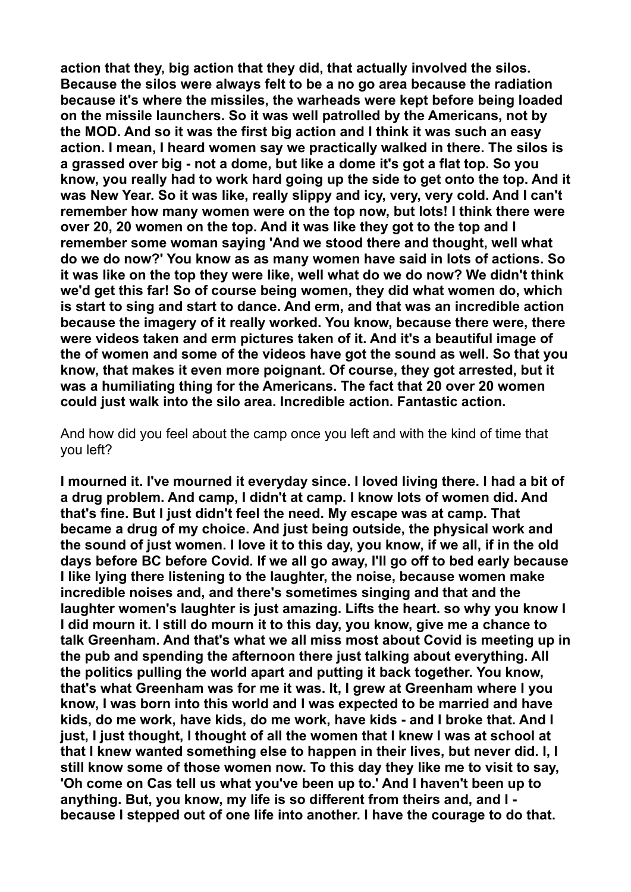**action that they, big action that they did, that actually involved the silos. Because the silos were always felt to be a no go area because the radiation because it's where the missiles, the warheads were kept before being loaded on the missile launchers. So it was well patrolled by the Americans, not by the MOD. And so it was the first big action and I think it was such an easy action. I mean, I heard women say we practically walked in there. The silos is a grassed over big - not a dome, but like a dome it's got a flat top. So you know, you really had to work hard going up the side to get onto the top. And it was New Year. So it was like, really slippy and icy, very, very cold. And I can't remember how many women were on the top now, but lots! I think there were over 20, 20 women on the top. And it was like they got to the top and I remember some woman saying 'And we stood there and thought, well what do we do now?' You know as as many women have said in lots of actions. So it was like on the top they were like, well what do we do now? We didn't think we'd get this far! So of course being women, they did what women do, which is start to sing and start to dance. And erm, and that was an incredible action because the imagery of it really worked. You know, because there were, there were videos taken and erm pictures taken of it. And it's a beautiful image of the of women and some of the videos have got the sound as well. So that you know, that makes it even more poignant. Of course, they got arrested, but it was a humiliating thing for the Americans. The fact that 20 over 20 women could just walk into the silo area. Incredible action. Fantastic action.** 

And how did you feel about the camp once you left and with the kind of time that you left?

**I mourned it. I've mourned it everyday since. I loved living there. I had a bit of a drug problem. And camp, I didn't at camp. I know lots of women did. And that's fine. But I just didn't feel the need. My escape was at camp. That became a drug of my choice. And just being outside, the physical work and the sound of just women. I love it to this day, you know, if we all, if in the old days before BC before Covid. If we all go away, I'll go off to bed early because I like lying there listening to the laughter, the noise, because women make incredible noises and, and there's sometimes singing and that and the laughter women's laughter is just amazing. Lifts the heart. so why you know I I did mourn it. I still do mourn it to this day, you know, give me a chance to talk Greenham. And that's what we all miss most about Covid is meeting up in the pub and spending the afternoon there just talking about everything. All the politics pulling the world apart and putting it back together. You know, that's what Greenham was for me it was. It, I grew at Greenham where I you know, I was born into this world and I was expected to be married and have kids, do me work, have kids, do me work, have kids - and I broke that. And I just, I just thought, I thought of all the women that I knew I was at school at that I knew wanted something else to happen in their lives, but never did. I, I still know some of those women now. To this day they like me to visit to say, 'Oh come on Cas tell us what you've been up to.' And I haven't been up to anything. But, you know, my life is so different from theirs and, and I because I stepped out of one life into another. I have the courage to do that.**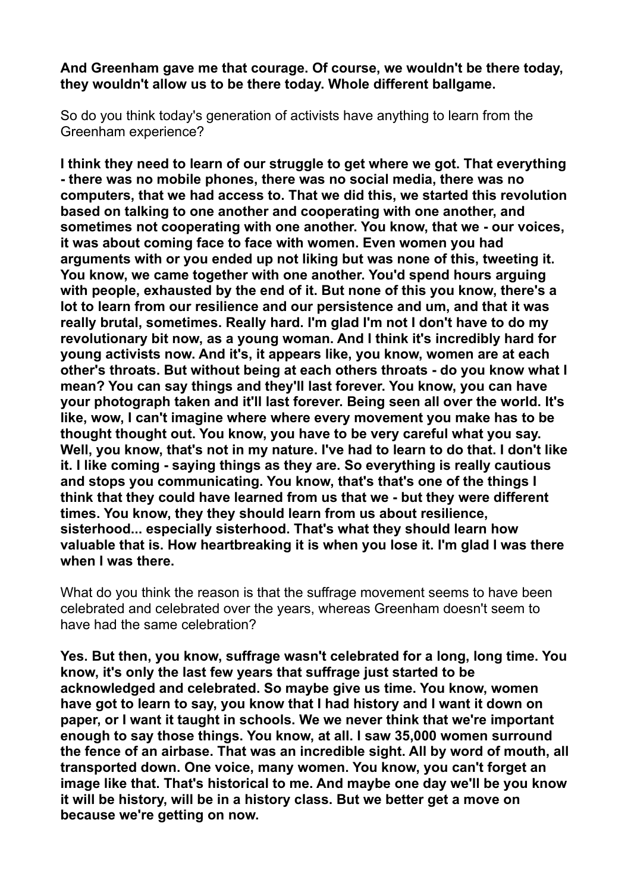**And Greenham gave me that courage. Of course, we wouldn't be there today, they wouldn't allow us to be there today. Whole different ballgame.** 

So do you think today's generation of activists have anything to learn from the Greenham experience?

**I think they need to learn of our struggle to get where we got. That everything - there was no mobile phones, there was no social media, there was no computers, that we had access to. That we did this, we started this revolution based on talking to one another and cooperating with one another, and sometimes not cooperating with one another. You know, that we - our voices, it was about coming face to face with women. Even women you had arguments with or you ended up not liking but was none of this, tweeting it. You know, we came together with one another. You'd spend hours arguing with people, exhausted by the end of it. But none of this you know, there's a lot to learn from our resilience and our persistence and um, and that it was really brutal, sometimes. Really hard. I'm glad I'm not I don't have to do my revolutionary bit now, as a young woman. And I think it's incredibly hard for young activists now. And it's, it appears like, you know, women are at each other's throats. But without being at each others throats - do you know what I mean? You can say things and they'll last forever. You know, you can have your photograph taken and it'll last forever. Being seen all over the world. It's like, wow, I can't imagine where where every movement you make has to be thought thought out. You know, you have to be very careful what you say. Well, you know, that's not in my nature. I've had to learn to do that. I don't like it. I like coming - saying things as they are. So everything is really cautious and stops you communicating. You know, that's that's one of the things I think that they could have learned from us that we - but they were different times. You know, they they should learn from us about resilience, sisterhood... especially sisterhood. That's what they should learn how valuable that is. How heartbreaking it is when you lose it. I'm glad I was there when I was there.** 

What do you think the reason is that the suffrage movement seems to have been celebrated and celebrated over the years, whereas Greenham doesn't seem to have had the same celebration?

**Yes. But then, you know, suffrage wasn't celebrated for a long, long time. You know, it's only the last few years that suffrage just started to be acknowledged and celebrated. So maybe give us time. You know, women have got to learn to say, you know that I had history and I want it down on paper, or I want it taught in schools. We we never think that we're important enough to say those things. You know, at all. I saw 35,000 women surround the fence of an airbase. That was an incredible sight. All by word of mouth, all transported down. One voice, many women. You know, you can't forget an image like that. That's historical to me. And maybe one day we'll be you know it will be history, will be in a history class. But we better get a move on because we're getting on now.**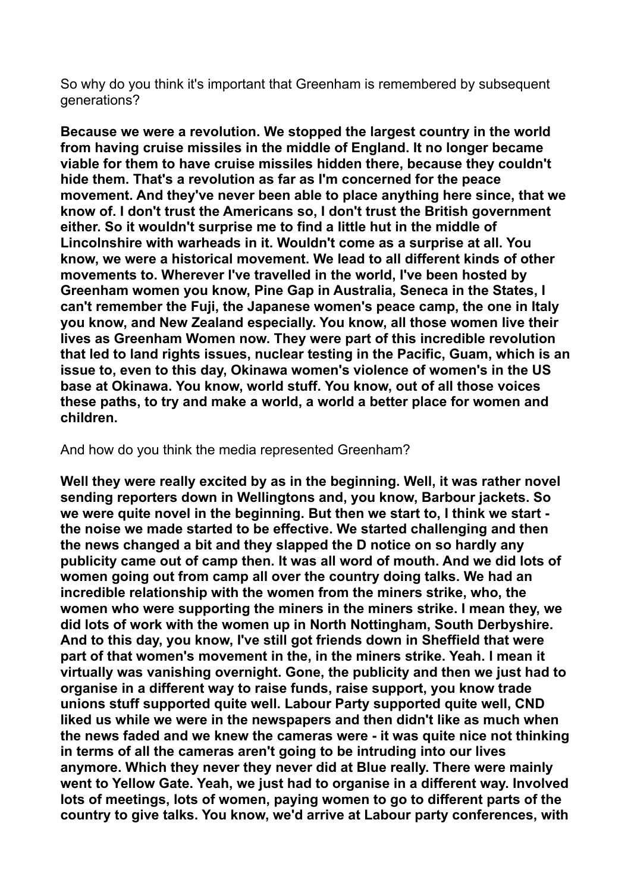So why do you think it's important that Greenham is remembered by subsequent generations?

**Because we were a revolution. We stopped the largest country in the world from having cruise missiles in the middle of England. It no longer became viable for them to have cruise missiles hidden there, because they couldn't hide them. That's a revolution as far as I'm concerned for the peace movement. And they've never been able to place anything here since, that we know of. I don't trust the Americans so, I don't trust the British government either. So it wouldn't surprise me to find a little hut in the middle of Lincolnshire with warheads in it. Wouldn't come as a surprise at all. You know, we were a historical movement. We lead to all different kinds of other movements to. Wherever I've travelled in the world, I've been hosted by Greenham women you know, Pine Gap in Australia, Seneca in the States, I can't remember the Fuji, the Japanese women's peace camp, the one in Italy you know, and New Zealand especially. You know, all those women live their lives as Greenham Women now. They were part of this incredible revolution that led to land rights issues, nuclear testing in the Pacific, Guam, which is an issue to, even to this day, Okinawa women's violence of women's in the US base at Okinawa. You know, world stuff. You know, out of all those voices these paths, to try and make a world, a world a better place for women and children.** 

And how do you think the media represented Greenham?

**Well they were really excited by as in the beginning. Well, it was rather novel sending reporters down in Wellingtons and, you know, Barbour jackets. So we were quite novel in the beginning. But then we start to, I think we start the noise we made started to be effective. We started challenging and then the news changed a bit and they slapped the D notice on so hardly any publicity came out of camp then. It was all word of mouth. And we did lots of women going out from camp all over the country doing talks. We had an incredible relationship with the women from the miners strike, who, the women who were supporting the miners in the miners strike. I mean they, we did lots of work with the women up in North Nottingham, South Derbyshire. And to this day, you know, I've still got friends down in Sheffield that were part of that women's movement in the, in the miners strike. Yeah. I mean it virtually was vanishing overnight. Gone, the publicity and then we just had to organise in a different way to raise funds, raise support, you know trade unions stuff supported quite well. Labour Party supported quite well, CND liked us while we were in the newspapers and then didn't like as much when the news faded and we knew the cameras were - it was quite nice not thinking in terms of all the cameras aren't going to be intruding into our lives anymore. Which they never they never did at Blue really. There were mainly went to Yellow Gate. Yeah, we just had to organise in a different way. Involved lots of meetings, lots of women, paying women to go to different parts of the country to give talks. You know, we'd arrive at Labour party conferences, with**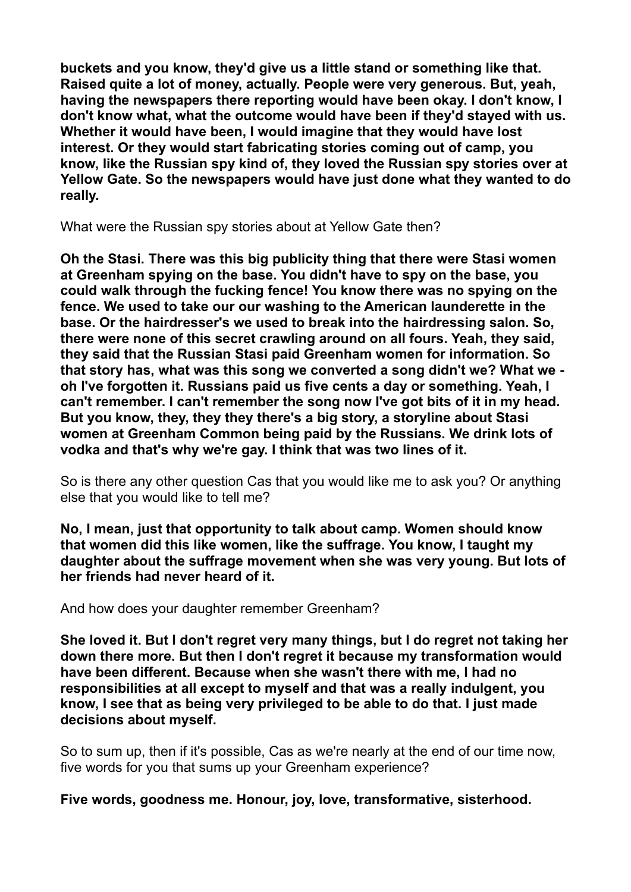**buckets and you know, they'd give us a little stand or something like that. Raised quite a lot of money, actually. People were very generous. But, yeah, having the newspapers there reporting would have been okay. I don't know, I don't know what, what the outcome would have been if they'd stayed with us. Whether it would have been, I would imagine that they would have lost interest. Or they would start fabricating stories coming out of camp, you know, like the Russian spy kind of, they loved the Russian spy stories over at Yellow Gate. So the newspapers would have just done what they wanted to do really.** 

What were the Russian spy stories about at Yellow Gate then?

**Oh the Stasi. There was this big publicity thing that there were Stasi women at Greenham spying on the base. You didn't have to spy on the base, you could walk through the fucking fence! You know there was no spying on the fence. We used to take our our washing to the American launderette in the base. Or the hairdresser's we used to break into the hairdressing salon. So, there were none of this secret crawling around on all fours. Yeah, they said, they said that the Russian Stasi paid Greenham women for information. So that story has, what was this song we converted a song didn't we? What we oh I've forgotten it. Russians paid us five cents a day or something. Yeah, I can't remember. I can't remember the song now I've got bits of it in my head. But you know, they, they they there's a big story, a storyline about Stasi women at Greenham Common being paid by the Russians. We drink lots of vodka and that's why we're gay. I think that was two lines of it.** 

So is there any other question Cas that you would like me to ask you? Or anything else that you would like to tell me?

**No, I mean, just that opportunity to talk about camp. Women should know that women did this like women, like the suffrage. You know, I taught my daughter about the suffrage movement when she was very young. But lots of her friends had never heard of it.** 

And how does your daughter remember Greenham?

**She loved it. But I don't regret very many things, but I do regret not taking her down there more. But then I don't regret it because my transformation would have been different. Because when she wasn't there with me, I had no responsibilities at all except to myself and that was a really indulgent, you know, I see that as being very privileged to be able to do that. I just made decisions about myself.** 

So to sum up, then if it's possible, Cas as we're nearly at the end of our time now, five words for you that sums up your Greenham experience?

**Five words, goodness me. Honour, joy, love, transformative, sisterhood.**